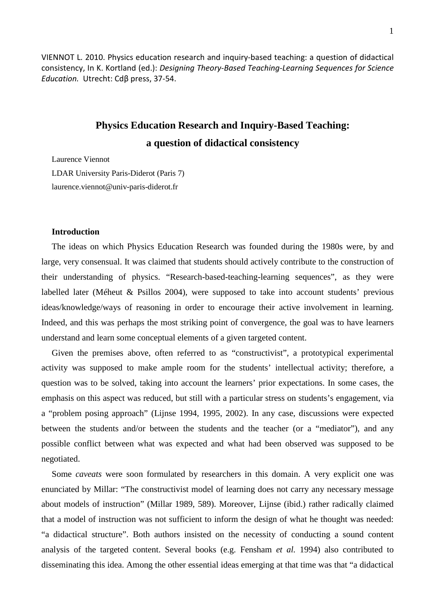VIENNOT L. 2010. Physics education research and inquiry-based teaching: a question of didactical consistency, In K. Kortland (ed.): *Designing Theory-Based Teaching-Learning Sequences for Science Education.* Utrecht: Cdβ press, 37-54.

# **Physics Education Research and Inquiry-Based Teaching: a question of didactical consistency**

Laurence Viennot

LDAR University Paris-Diderot (Paris 7) laurence.viennot@univ-paris-diderot.fr

#### **Introduction**

The ideas on which Physics Education Research was founded during the 1980s were, by and large, very consensual. It was claimed that students should actively contribute to the construction of their understanding of physics. "Research-based-teaching-learning sequences", as they were labelled later (Méheut & Psillos 2004), were supposed to take into account students' previous ideas/knowledge/ways of reasoning in order to encourage their active involvement in learning. Indeed, and this was perhaps the most striking point of convergence, the goal was to have learners understand and learn some conceptual elements of a given targeted content.

Given the premises above, often referred to as "constructivist", a prototypical experimental activity was supposed to make ample room for the students' intellectual activity; therefore, a question was to be solved, taking into account the learners' prior expectations. In some cases, the emphasis on this aspect was reduced, but still with a particular stress on students's engagement, via a "problem posing approach" (Lijnse 1994, 1995, 2002). In any case, discussions were expected between the students and/or between the students and the teacher (or a "mediator"), and any possible conflict between what was expected and what had been observed was supposed to be negotiated.

Some *caveats* were soon formulated by researchers in this domain. A very explicit one was enunciated by Millar: "The constructivist model of learning does not carry any necessary message about models of instruction" (Millar 1989, 589). Moreover, Lijnse (ibid.) rather radically claimed that a model of instruction was not sufficient to inform the design of what he thought was needed: "a didactical structure". Both authors insisted on the necessity of conducting a sound content analysis of the targeted content. Several books (e.g. Fensham *et al.* 1994) also contributed to disseminating this idea. Among the other essential ideas emerging at that time was that "a didactical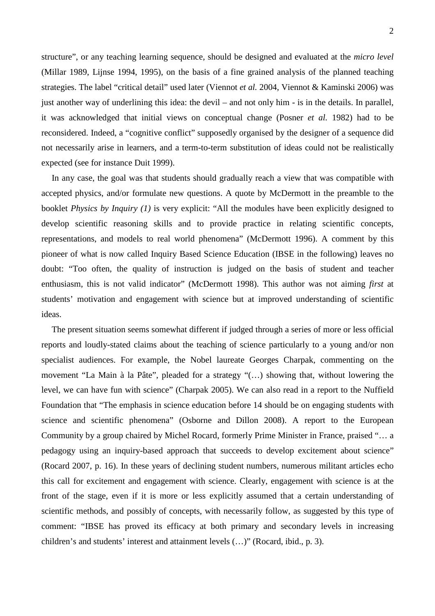structure", or any teaching learning sequence, should be designed and evaluated at the *micro level*  (Millar 1989, Lijnse 1994, 1995), on the basis of a fine grained analysis of the planned teaching strategies. The label "critical detail" used later (Viennot *et al.* 2004, Viennot & Kaminski 2006) was just another way of underlining this idea: the devil – and not only him - is in the details. In parallel, it was acknowledged that initial views on conceptual change (Posner *et al.* 1982) had to be reconsidered. Indeed, a "cognitive conflict" supposedly organised by the designer of a sequence did not necessarily arise in learners, and a term-to-term substitution of ideas could not be realistically expected (see for instance Duit 1999).

In any case, the goal was that students should gradually reach a view that was compatible with accepted physics, and/or formulate new questions. A quote by McDermott in the preamble to the booklet *Physics by Inquiry (1)* is very explicit: "All the modules have been explicitly designed to develop scientific reasoning skills and to provide practice in relating scientific concepts, representations, and models to real world phenomena" (McDermott 1996). A comment by this pioneer of what is now called Inquiry Based Science Education (IBSE in the following) leaves no doubt: "Too often, the quality of instruction is judged on the basis of student and teacher enthusiasm, this is not valid indicator" (McDermott 1998). This author was not aiming *first* at students' motivation and engagement with science but at improved understanding of scientific ideas.

The present situation seems somewhat different if judged through a series of more or less official reports and loudly-stated claims about the teaching of science particularly to a young and/or non specialist audiences. For example, the Nobel laureate Georges Charpak, commenting on the movement "La Main à la Pâte", pleaded for a strategy "(…) showing that, without lowering the level, we can have fun with science" (Charpak 2005). We can also read in a report to the Nuffield Foundation that "The emphasis in science education before 14 should be on engaging students with science and scientific phenomena" (Osborne and Dillon 2008). A report to the European Community by a group chaired by Michel Rocard, formerly Prime Minister in France, praised "… a pedagogy using an inquiry-based approach that succeeds to develop excitement about science" (Rocard 2007, p. 16). In these years of declining student numbers, numerous militant articles echo this call for excitement and engagement with science. Clearly, engagement with science is at the front of the stage, even if it is more or less explicitly assumed that a certain understanding of scientific methods, and possibly of concepts, with necessarily follow, as suggested by this type of comment: "IBSE has proved its efficacy at both primary and secondary levels in increasing children's and students' interest and attainment levels (…)" (Rocard, ibid., p. 3).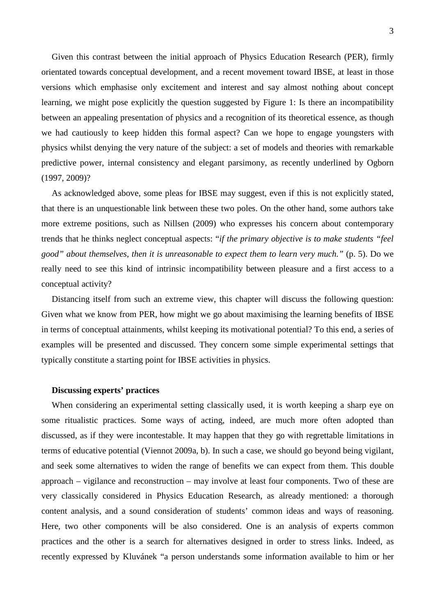Given this contrast between the initial approach of Physics Education Research (PER), firmly orientated towards conceptual development, and a recent movement toward IBSE, at least in those versions which emphasise only excitement and interest and say almost nothing about concept learning, we might pose explicitly the question suggested by Figure 1: Is there an incompatibility between an appealing presentation of physics and a recognition of its theoretical essence, as though we had cautiously to keep hidden this formal aspect? Can we hope to engage youngsters with physics whilst denying the very nature of the subject: a set of models and theories with remarkable predictive power, internal consistency and elegant parsimony, as recently underlined by Ogborn (1997, 2009)?

As acknowledged above, some pleas for IBSE may suggest, even if this is not explicitly stated, that there is an unquestionable link between these two poles. On the other hand, some authors take more extreme positions, such as Nillsen (2009) who expresses his concern about contemporary trends that he thinks neglect conceptual aspects: "*if the primary objective is to make students "feel good" about themselves, then it is unreasonable to expect them to learn very much."* (p. 5). Do we really need to see this kind of intrinsic incompatibility between pleasure and a first access to a conceptual activity?

Distancing itself from such an extreme view, this chapter will discuss the following question: Given what we know from PER, how might we go about maximising the learning benefits of IBSE in terms of conceptual attainments, whilst keeping its motivational potential? To this end, a series of examples will be presented and discussed. They concern some simple experimental settings that typically constitute a starting point for IBSE activities in physics.

#### **Discussing experts' practices**

When considering an experimental setting classically used, it is worth keeping a sharp eye on some ritualistic practices. Some ways of acting, indeed, are much more often adopted than discussed, as if they were incontestable. It may happen that they go with regrettable limitations in terms of educative potential (Viennot 2009a, b). In such a case, we should go beyond being vigilant, and seek some alternatives to widen the range of benefits we can expect from them. This double approach – vigilance and reconstruction – may involve at least four components. Two of these are very classically considered in Physics Education Research, as already mentioned: a thorough content analysis, and a sound consideration of students' common ideas and ways of reasoning. Here, two other components will be also considered. One is an analysis of experts common practices and the other is a search for alternatives designed in order to stress links. Indeed, as recently expressed by Kluvánek "a person understands some information available to him or her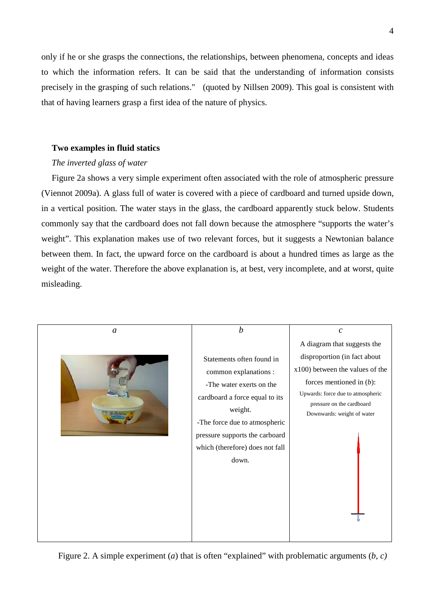only if he or she grasps the connections, the relationships, between phenomena, concepts and ideas to which the information refers. It can be said that the understanding of information consists precisely in the grasping of such relations."(quoted by Nillsen 2009). This goal is consistent with that of having learners grasp a first idea of the nature of physics.

## **Two examples in fluid statics**

## *The inverted glass of water*

Figure 2a shows a very simple experiment often associated with the role of atmospheric pressure (Viennot 2009a). A glass full of water is covered with a piece of cardboard and turned upside down, in a vertical position. The water stays in the glass, the cardboard apparently stuck below. Students commonly say that the cardboard does not fall down because the atmosphere "supports the water's weight". This explanation makes use of two relevant forces, but it suggests a Newtonian balance between them. In fact, the upward force on the cardboard is about a hundred times as large as the weight of the water. Therefore the above explanation is, at best, very incomplete, and at worst, quite misleading.



Figure 2. A simple experiment (*a*) that is often "explained" with problematic arguments (*b, c)*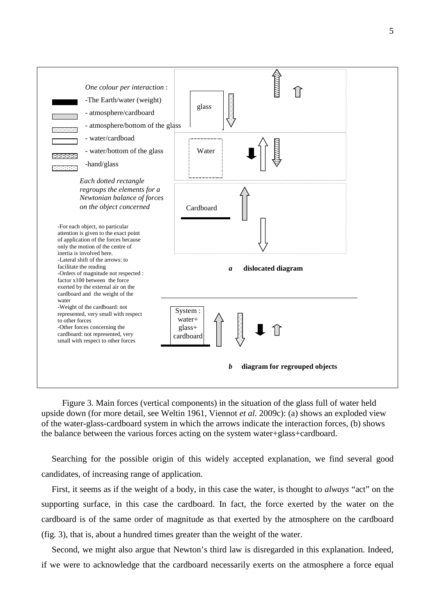

Figure 3. Main forces (vertical components) in the situation of the glass full of water held upside down (for more detail, see Weltin 1961, Viennot *et al.* 2009c): (a) shows an exploded view of the water-glass-cardboard system in which the arrows indicate the interaction forces, (b) shows the balance between the various forces acting on the system water+glass+cardboard.

Searching for the possible origin of this widely accepted explanation, we find several good candidates, of increasing range of application.

First, it seems as if the weight of a body, in this case the water, is thought to *always* "act" on the supporting surface, in this case the cardboard. In fact, the force exerted by the water on the cardboard is of the same order of magnitude as that exerted by the atmosphere on the cardboard (fig. 3), that is, about a hundred times greater than the weight of the water.

Second, we might also argue that Newton's third law is disregarded in this explanation. Indeed, if we were to acknowledge that the cardboard necessarily exerts on the atmosphere a force equal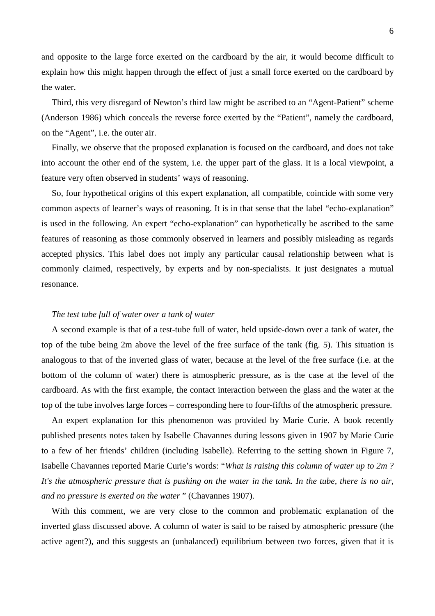and opposite to the large force exerted on the cardboard by the air, it would become difficult to explain how this might happen through the effect of just a small force exerted on the cardboard by the water.

Third, this very disregard of Newton's third law might be ascribed to an "Agent-Patient" scheme (Anderson 1986) which conceals the reverse force exerted by the "Patient", namely the cardboard, on the "Agent", i.e. the outer air.

Finally, we observe that the proposed explanation is focused on the cardboard, and does not take into account the other end of the system, i.e. the upper part of the glass. It is a local viewpoint, a feature very often observed in students' ways of reasoning.

So, four hypothetical origins of this expert explanation, all compatible, coincide with some very common aspects of learner's ways of reasoning. It is in that sense that the label "echo-explanation" is used in the following. An expert "echo-explanation" can hypothetically be ascribed to the same features of reasoning as those commonly observed in learners and possibly misleading as regards accepted physics. This label does not imply any particular causal relationship between what is commonly claimed, respectively, by experts and by non-specialists. It just designates a mutual resonance.

#### *The test tube full of water over a tank of water*

A second example is that of a test-tube full of water, held upside-down over a tank of water, the top of the tube being 2m above the level of the free surface of the tank (fig. 5). This situation is analogous to that of the inverted glass of water, because at the level of the free surface (i.e. at the bottom of the column of water) there is atmospheric pressure, as is the case at the level of the cardboard. As with the first example, the contact interaction between the glass and the water at the top of the tube involves large forces – corresponding here to four-fifths of the atmospheric pressure.

An expert explanation for this phenomenon was provided by Marie Curie. A book recently published presents notes taken by Isabelle Chavannes during lessons given in 1907 by Marie Curie to a few of her friends' children (including Isabelle). Referring to the setting shown in Figure 7, Isabelle Chavannes reported Marie Curie's words: "*What is raising this column of water up to 2m ? It's the atmospheric pressure that is pushing on the water in the tank. In the tube, there is no air, and no pressure is exerted on the water* " (Chavannes 1907).

With this comment, we are very close to the common and problematic explanation of the inverted glass discussed above. A column of water is said to be raised by atmospheric pressure (the active agent?), and this suggests an (unbalanced) equilibrium between two forces, given that it is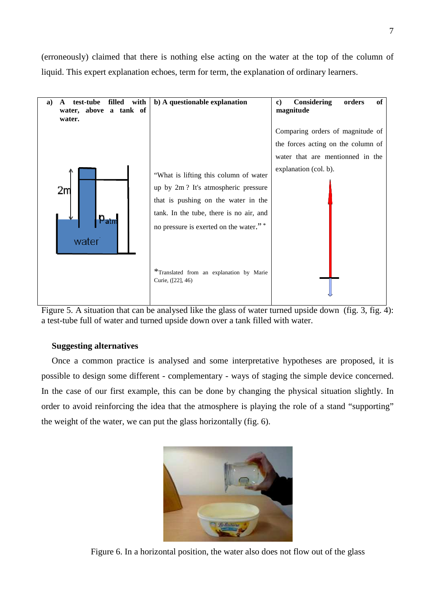(erroneously) claimed that there is nothing else acting on the water at the top of the column of liquid. This expert explanation echoes, term for term, the explanation of ordinary learners.



Figure 5. A situation that can be analysed like the glass of water turned upside down (fig. 3, fig. 4): a test-tube full of water and turned upside down over a tank filled with water.

# **Suggesting alternatives**

Once a common practice is analysed and some interpretative hypotheses are proposed, it is possible to design some different - complementary - ways of staging the simple device concerned. In the case of our first example, this can be done by changing the physical situation slightly. In order to avoid reinforcing the idea that the atmosphere is playing the role of a stand "supporting" the weight of the water, we can put the glass horizontally (fig. 6).



Figure 6. In a horizontal position, the water also does not flow out of the glass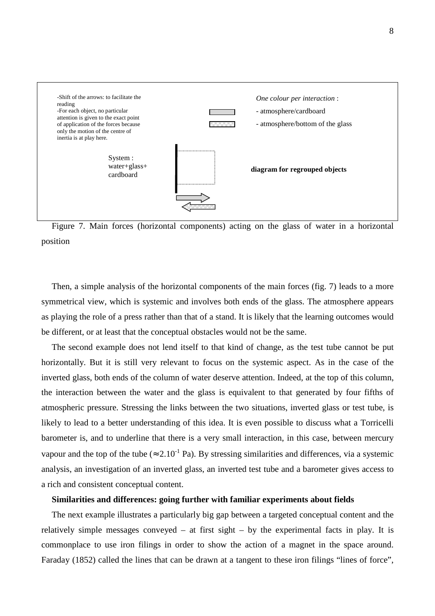

Figure 7. Main forces (horizontal components) acting on the glass of water in a horizontal position

Then, a simple analysis of the horizontal components of the main forces (fig. 7) leads to a more symmetrical view, which is systemic and involves both ends of the glass. The atmosphere appears as playing the role of a press rather than that of a stand. It is likely that the learning outcomes would be different, or at least that the conceptual obstacles would not be the same.

The second example does not lend itself to that kind of change, as the test tube cannot be put horizontally. But it is still very relevant to focus on the systemic aspect. As in the case of the inverted glass, both ends of the column of water deserve attention. Indeed, at the top of this column, the interaction between the water and the glass is equivalent to that generated by four fifths of atmospheric pressure. Stressing the links between the two situations, inverted glass or test tube, is likely to lead to a better understanding of this idea. It is even possible to discuss what a Torricelli barometer is, and to underline that there is a very small interaction, in this case, between mercury vapour and the top of the tube ( $\approx 2.10^{-1}$  Pa). By stressing similarities and differences, via a systemic analysis, an investigation of an inverted glass, an inverted test tube and a barometer gives access to a rich and consistent conceptual content.

#### **Similarities and differences: going further with familiar experiments about fields**

The next example illustrates a particularly big gap between a targeted conceptual content and the relatively simple messages conveyed – at first sight – by the experimental facts in play. It is commonplace to use iron filings in order to show the action of a magnet in the space around. Faraday (1852) called the lines that can be drawn at a tangent to these iron filings "lines of force",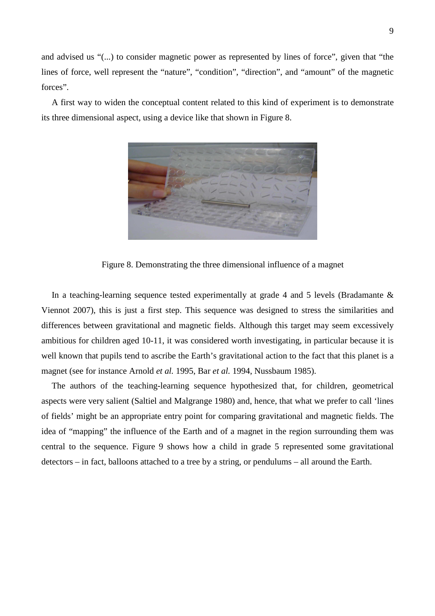and advised us "(...) to consider magnetic power as represented by lines of force", given that "the lines of force, well represent the "nature", "condition", "direction", and "amount" of the magnetic forces".

A first way to widen the conceptual content related to this kind of experiment is to demonstrate its three dimensional aspect, using a device like that shown in Figure 8.



Figure 8. Demonstrating the three dimensional influence of a magnet

In a teaching-learning sequence tested experimentally at grade 4 and 5 levels (Bradamante  $\&$ Viennot 2007), this is just a first step. This sequence was designed to stress the similarities and differences between gravitational and magnetic fields. Although this target may seem excessively ambitious for children aged 10-11, it was considered worth investigating, in particular because it is well known that pupils tend to ascribe the Earth's gravitational action to the fact that this planet is a magnet (see for instance Arnold *et al.* 1995, Bar *et al.* 1994, Nussbaum 1985).

The authors of the teaching-learning sequence hypothesized that, for children, geometrical aspects were very salient (Saltiel and Malgrange 1980) and, hence, that what we prefer to call 'lines of fields' might be an appropriate entry point for comparing gravitational and magnetic fields. The idea of "mapping" the influence of the Earth and of a magnet in the region surrounding them was central to the sequence. Figure 9 shows how a child in grade 5 represented some gravitational detectors – in fact, balloons attached to a tree by a string, or pendulums – all around the Earth.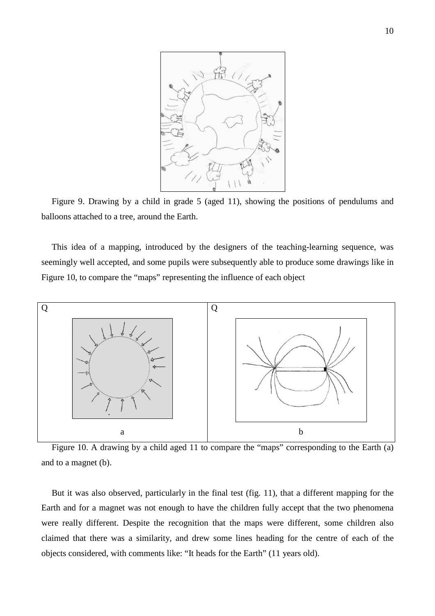

Figure 9. Drawing by a child in grade 5 (aged 11), showing the positions of pendulums and balloons attached to a tree, around the Earth.

This idea of a mapping, introduced by the designers of the teaching-learning sequence, was seemingly well accepted, and some pupils were subsequently able to produce some drawings like in Figure 10, to compare the "maps" representing the influence of each object



Figure 10. A drawing by a child aged 11 to compare the "maps" corresponding to the Earth (a) and to a magnet (b).

But it was also observed, particularly in the final test (fig. 11), that a different mapping for the Earth and for a magnet was not enough to have the children fully accept that the two phenomena were really different. Despite the recognition that the maps were different, some children also claimed that there was a similarity, and drew some lines heading for the centre of each of the objects considered, with comments like: "It heads for the Earth" (11 years old).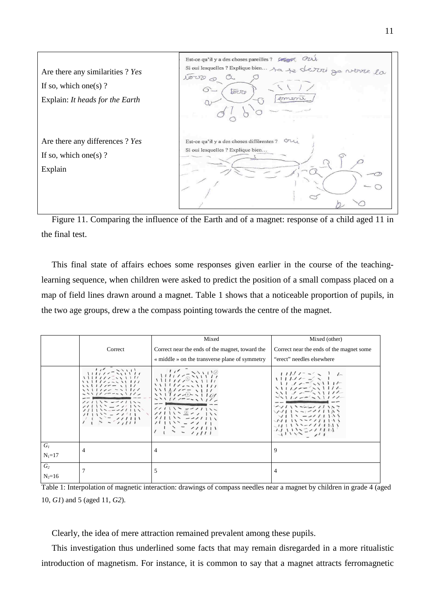

Figure 11. Comparing the influence of the Earth and of a magnet: response of a child aged 11 in the final test.

This final state of affairs echoes some responses given earlier in the course of the teachinglearning sequence, when children were asked to predict the position of a small compass placed on a map of field lines drawn around a magnet. Table 1 shows that a noticeable proportion of pupils, in the two age groups, drew a the compass pointing towards the centre of the magnet.

|                            |                                                                                                                                                | Mixed                                                                                                                          | Mixed (other)                                                                                                                                      |
|----------------------------|------------------------------------------------------------------------------------------------------------------------------------------------|--------------------------------------------------------------------------------------------------------------------------------|----------------------------------------------------------------------------------------------------------------------------------------------------|
|                            | Correct                                                                                                                                        | Correct near the ends of the magnet, toward the                                                                                | Correct near the ends of the magnet some                                                                                                           |
|                            |                                                                                                                                                | « middle » on the transverse plane of symmetry                                                                                 | "erect" needles elsewhere                                                                                                                          |
|                            | <i>with-2000</i><br>1111112-1111<br>1111122211111<br>$1111111 - 1111$<br>$111177 - 11177$<br>211112221112<br>$11111 - 21111$<br>长江乡东长<br>生产毛细下 | 用作家旅馆<br>$\frac{1}{2}$<br>2111122211122<br>$11111 - 21111$<br>$111159 - 111$<br>$111112 - 211111$<br>$11133 - 2111$<br>トミニ クガド | 电生态信<br><b>NISCENTIFIC</b><br>$\sqrt{111}$<br>イソノ い ーーーノ ノノ いいこ<br>$\frac{1}{2}$<br>$111 - 211111$<br>$\mathcal{N}$ 1 1 2 - - 1 1 1 1 1 1<br>認真会の質 |
| $G_I$<br>$N_1 = 17$        | 4                                                                                                                                              | 4                                                                                                                              | 9                                                                                                                                                  |
| G <sub>2</sub><br>$N_2=16$ |                                                                                                                                                | 5                                                                                                                              | 4                                                                                                                                                  |

Table 1: Interpolation of magnetic interaction: drawings of compass needles near a magnet by children in grade 4 (aged 10, *G1*) and 5 (aged 11, *G2*).

Clearly, the idea of mere attraction remained prevalent among these pupils.

This investigation thus underlined some facts that may remain disregarded in a more ritualistic introduction of magnetism. For instance, it is common to say that a magnet attracts ferromagnetic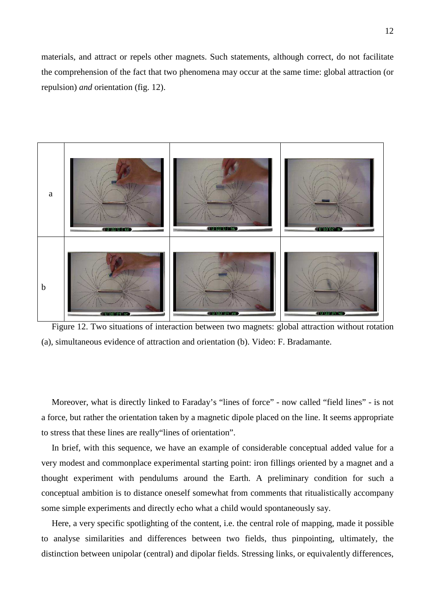materials, and attract or repels other magnets. Such statements, although correct, do not facilitate the comprehension of the fact that two phenomena may occur at the same time: global attraction (or repulsion) *and* orientation (fig. 12).



Figure 12. Two situations of interaction between two magnets: global attraction without rotation (a), simultaneous evidence of attraction and orientation (b). Video: F. Bradamante.

Moreover, what is directly linked to Faraday's "lines of force" - now called "field lines" - is not a force, but rather the orientation taken by a magnetic dipole placed on the line. It seems appropriate to stress that these lines are really"lines of orientation".

In brief, with this sequence, we have an example of considerable conceptual added value for a very modest and commonplace experimental starting point: iron fillings oriented by a magnet and a thought experiment with pendulums around the Earth. A preliminary condition for such a conceptual ambition is to distance oneself somewhat from comments that ritualistically accompany some simple experiments and directly echo what a child would spontaneously say.

Here, a very specific spotlighting of the content, i.e. the central role of mapping, made it possible to analyse similarities and differences between two fields, thus pinpointing, ultimately, the distinction between unipolar (central) and dipolar fields. Stressing links, or equivalently differences,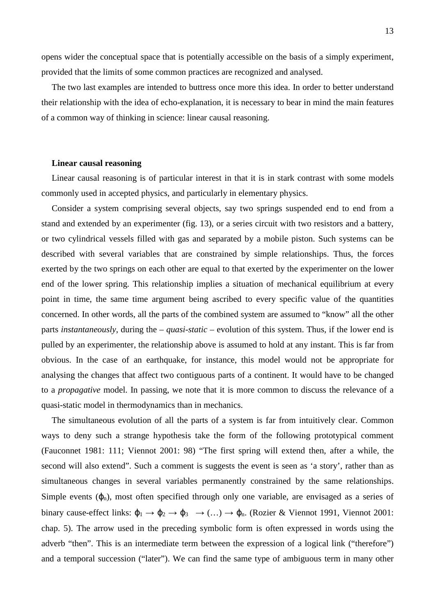opens wider the conceptual space that is potentially accessible on the basis of a simply experiment, provided that the limits of some common practices are recognized and analysed.

The two last examples are intended to buttress once more this idea. In order to better understand their relationship with the idea of echo-explanation, it is necessary to bear in mind the main features of a common way of thinking in science: linear causal reasoning.

#### **Linear causal reasoning**

Linear causal reasoning is of particular interest in that it is in stark contrast with some models commonly used in accepted physics, and particularly in elementary physics.

Consider a system comprising several objects, say two springs suspended end to end from a stand and extended by an experimenter (fig. 13), or a series circuit with two resistors and a battery, or two cylindrical vessels filled with gas and separated by a mobile piston. Such systems can be described with several variables that are constrained by simple relationships. Thus, the forces exerted by the two springs on each other are equal to that exerted by the experimenter on the lower end of the lower spring. This relationship implies a situation of mechanical equilibrium at every point in time, the same time argument being ascribed to every specific value of the quantities concerned. In other words, all the parts of the combined system are assumed to "know" all the other parts *instantaneously*, during the – *quasi-static* – evolution of this system. Thus, if the lower end is pulled by an experimenter, the relationship above is assumed to hold at any instant. This is far from obvious. In the case of an earthquake, for instance, this model would not be appropriate for analysing the changes that affect two contiguous parts of a continent. It would have to be changed to a *propagative* model. In passing, we note that it is more common to discuss the relevance of a quasi-static model in thermodynamics than in mechanics.

The simultaneous evolution of all the parts of a system is far from intuitively clear. Common ways to deny such a strange hypothesis take the form of the following prototypical comment (Fauconnet 1981: 111; Viennot 2001: 98) "The first spring will extend then, after a while, the second will also extend". Such a comment is suggests the event is seen as 'a story', rather than as simultaneous changes in several variables permanently constrained by the same relationships. Simple events  $(\varphi_n)$ , most often specified through only one variable, are envisaged as a series of binary cause-effect links:  $\varphi_1 \rightarrow \varphi_2 \rightarrow \varphi_3 \rightarrow \ldots$   $\rightarrow \varphi_n$ . (Rozier & Viennot 1991, Viennot 2001: chap. 5). The arrow used in the preceding symbolic form is often expressed in words using the adverb "then". This is an intermediate term between the expression of a logical link ("therefore") and a temporal succession ("later"). We can find the same type of ambiguous term in many other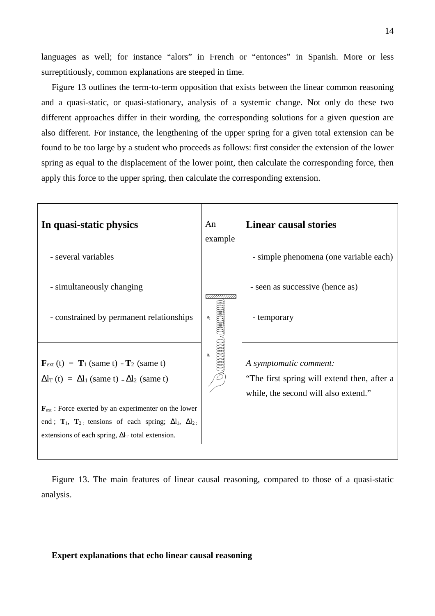languages as well; for instance "alors" in French or "entonces" in Spanish. More or less surreptitiously, common explanations are steeped in time.

Figure 13 outlines the term-to-term opposition that exists between the linear common reasoning and a quasi-static, or quasi-stationary, analysis of a systemic change. Not only do these two different approaches differ in their wording, the corresponding solutions for a given question are also different. For instance, the lengthening of the upper spring for a given total extension can be found to be too large by a student who proceeds as follows: first consider the extension of the lower spring as equal to the displacement of the lower point, then calculate the corresponding force, then apply this force to the upper spring, then calculate the corresponding extension.



Figure 13. The main features of linear causal reasoning, compared to those of a quasi-static analysis.

## **Expert explanations that echo linear causal reasoning**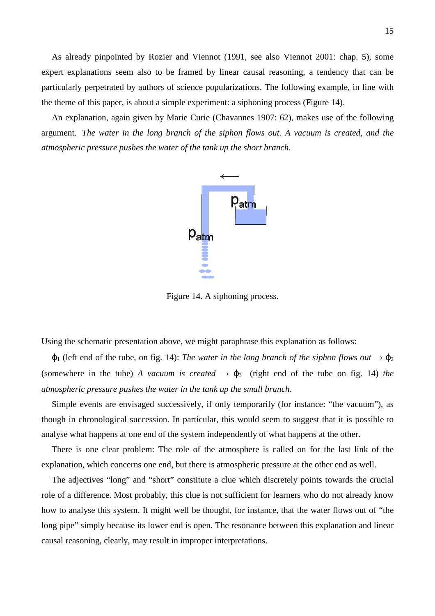As already pinpointed by Rozier and Viennot (1991, see also Viennot 2001: chap. 5), some expert explanations seem also to be framed by linear causal reasoning, a tendency that can be particularly perpetrated by authors of science popularizations. The following example, in line with the theme of this paper, is about a simple experiment: a siphoning process (Figure 14).

An explanation, again given by Marie Curie (Chavannes 1907: 62), makes use of the following argument. *The water in the long branch of the siphon flows out. A vacuum is created, and the atmospheric pressure pushes the water of the tank up the short branch.*



Figure 14. A siphoning process.

Using the schematic presentation above, we might paraphrase this explanation as follows:

 $\varphi_1$  (left end of the tube, on fig. 14): *The water in the long branch of the siphon flows out*  $\rightarrow \varphi_2$ (somewhere in the tube) *A vacuum is created*  $\rightarrow \varphi_3$  (right end of the tube on fig. 14) *the atmospheric pressure pushes the water in the tank up the small branch*.

Simple events are envisaged successively, if only temporarily (for instance: "the vacuum"), as though in chronological succession. In particular, this would seem to suggest that it is possible to analyse what happens at one end of the system independently of what happens at the other.

There is one clear problem: The role of the atmosphere is called on for the last link of the explanation, which concerns one end, but there is atmospheric pressure at the other end as well.

The adjectives "long" and "short" constitute a clue which discretely points towards the crucial role of a difference. Most probably, this clue is not sufficient for learners who do not already know how to analyse this system. It might well be thought, for instance, that the water flows out of "the long pipe" simply because its lower end is open. The resonance between this explanation and linear causal reasoning, clearly, may result in improper interpretations.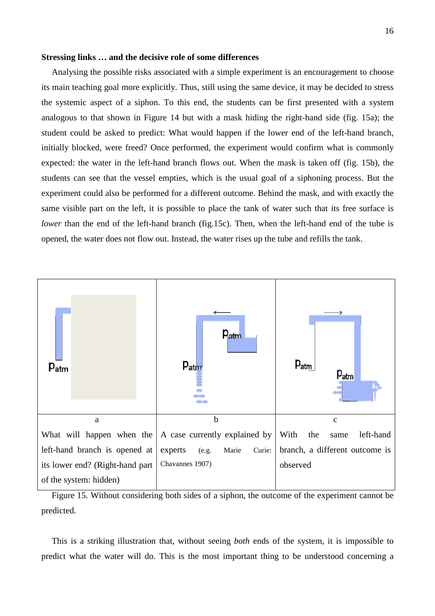#### **Stressing links … and the decisive role of some differences**

Analysing the possible risks associated with a simple experiment is an encouragement to choose its main teaching goal more explicitly. Thus, still using the same device, it may be decided to stress the systemic aspect of a siphon. To this end, the students can be first presented with a system analogous to that shown in Figure 14 but with a mask hiding the right-hand side (fig. 15a); the student could be asked to predict: What would happen if the lower end of the left-hand branch, initially blocked, were freed? Once performed, the experiment would confirm what is commonly expected: the water in the left-hand branch flows out. When the mask is taken off (fig. 15b), the students can see that the vessel empties, which is the usual goal of a siphoning process. But the experiment could also be performed for a different outcome. Behind the mask, and with exactly the same visible part on the left, it is possible to place the tank of water such that its free surface is *lower* than the end of the left-hand branch (fig.15c). Then, when the left-hand end of the tube is opened, the water does not flow out. Instead, the water rises up the tube and refills the tank.



Figure 15. Without considering both sides of a siphon, the outcome of the experiment cannot be predicted.

This is a striking illustration that, without seeing *both* ends of the system, it is impossible to predict what the water will do. This is the most important thing to be understood concerning a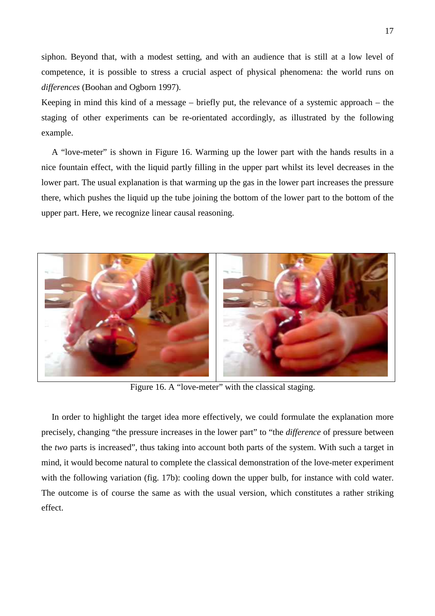siphon. Beyond that, with a modest setting, and with an audience that is still at a low level of competence, it is possible to stress a crucial aspect of physical phenomena: the world runs on *differences* (Boohan and Ogborn 1997).

Keeping in mind this kind of a message – briefly put, the relevance of a systemic approach – the staging of other experiments can be re-orientated accordingly, as illustrated by the following example.

A "love-meter" is shown in Figure 16. Warming up the lower part with the hands results in a nice fountain effect, with the liquid partly filling in the upper part whilst its level decreases in the lower part. The usual explanation is that warming up the gas in the lower part increases the pressure there, which pushes the liquid up the tube joining the bottom of the lower part to the bottom of the upper part. Here, we recognize linear causal reasoning.



Figure 16. A "love-meter" with the classical staging.

In order to highlight the target idea more effectively, we could formulate the explanation more precisely, changing "the pressure increases in the lower part" to "the *difference* of pressure between the *two* parts is increased", thus taking into account both parts of the system. With such a target in mind, it would become natural to complete the classical demonstration of the love-meter experiment with the following variation (fig. 17b): cooling down the upper bulb, for instance with cold water. The outcome is of course the same as with the usual version, which constitutes a rather striking effect.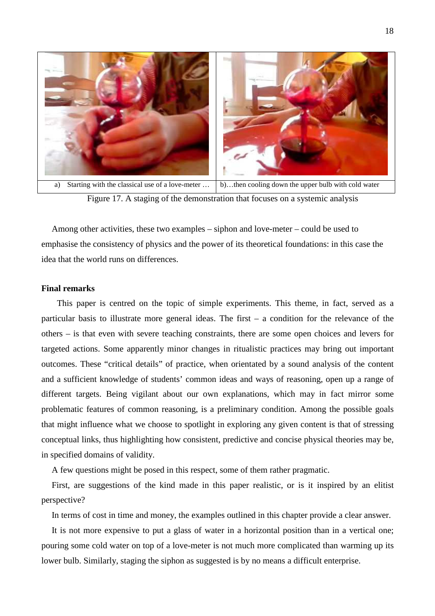

Figure 17. A staging of the demonstration that focuses on a systemic analysis

Among other activities, these two examples – siphon and love-meter – could be used to emphasise the consistency of physics and the power of its theoretical foundations: in this case the idea that the world runs on differences.

## **Final remarks**

This paper is centred on the topic of simple experiments. This theme, in fact, served as a particular basis to illustrate more general ideas. The first – a condition for the relevance of the others – is that even with severe teaching constraints, there are some open choices and levers for targeted actions. Some apparently minor changes in ritualistic practices may bring out important outcomes. These "critical details" of practice, when orientated by a sound analysis of the content and a sufficient knowledge of students' common ideas and ways of reasoning, open up a range of different targets. Being vigilant about our own explanations, which may in fact mirror some problematic features of common reasoning, is a preliminary condition. Among the possible goals that might influence what we choose to spotlight in exploring any given content is that of stressing conceptual links, thus highlighting how consistent, predictive and concise physical theories may be, in specified domains of validity.

A few questions might be posed in this respect, some of them rather pragmatic.

First, are suggestions of the kind made in this paper realistic, or is it inspired by an elitist perspective?

In terms of cost in time and money, the examples outlined in this chapter provide a clear answer.

It is not more expensive to put a glass of water in a horizontal position than in a vertical one; pouring some cold water on top of a love-meter is not much more complicated than warming up its lower bulb. Similarly, staging the siphon as suggested is by no means a difficult enterprise.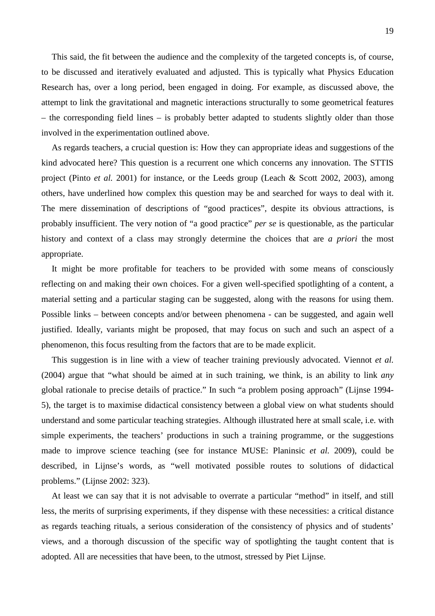This said, the fit between the audience and the complexity of the targeted concepts is, of course, to be discussed and iteratively evaluated and adjusted. This is typically what Physics Education Research has, over a long period, been engaged in doing. For example, as discussed above, the attempt to link the gravitational and magnetic interactions structurally to some geometrical features – the corresponding field lines – is probably better adapted to students slightly older than those involved in the experimentation outlined above.

As regards teachers, a crucial question is: How they can appropriate ideas and suggestions of the kind advocated here? This question is a recurrent one which concerns any innovation. The STTIS project (Pinto *et al.* 2001) for instance, or the Leeds group (Leach & Scott 2002, 2003), among others, have underlined how complex this question may be and searched for ways to deal with it. The mere dissemination of descriptions of "good practices", despite its obvious attractions, is probably insufficient. The very notion of "a good practice" *per se* is questionable, as the particular history and context of a class may strongly determine the choices that are *a priori* the most appropriate.

It might be more profitable for teachers to be provided with some means of consciously reflecting on and making their own choices. For a given well-specified spotlighting of a content, a material setting and a particular staging can be suggested, along with the reasons for using them. Possible links – between concepts and/or between phenomena - can be suggested, and again well justified. Ideally, variants might be proposed, that may focus on such and such an aspect of a phenomenon, this focus resulting from the factors that are to be made explicit.

This suggestion is in line with a view of teacher training previously advocated. Viennot *et al.* (2004) argue that "what should be aimed at in such training, we think, is an ability to link *any* global rationale to precise details of practice." In such "a problem posing approach" (Lijnse 1994- 5), the target is to maximise didactical consistency between a global view on what students should understand and some particular teaching strategies. Although illustrated here at small scale, i.e. with simple experiments, the teachers' productions in such a training programme, or the suggestions made to improve science teaching (see for instance MUSE: Planinsic *et al.* 2009), could be described, in Lijnse's words, as "well motivated possible routes to solutions of didactical problems." (Lijnse 2002: 323).

At least we can say that it is not advisable to overrate a particular "method" in itself, and still less, the merits of surprising experiments, if they dispense with these necessities: a critical distance as regards teaching rituals, a serious consideration of the consistency of physics and of students' views, and a thorough discussion of the specific way of spotlighting the taught content that is adopted. All are necessities that have been, to the utmost, stressed by Piet Lijnse.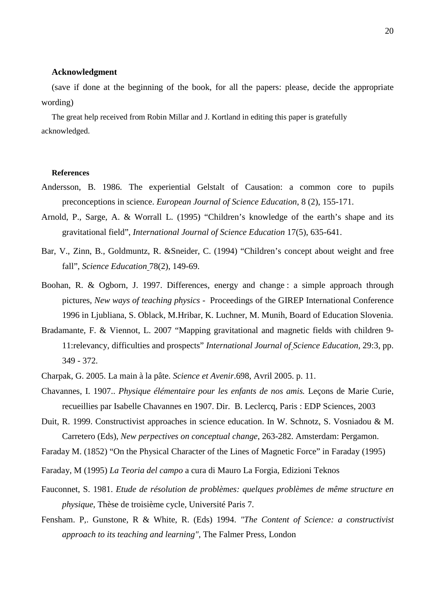## **Acknowledgment**

(save if done at the beginning of the book, for all the papers: please, decide the appropriate wording)

The great help received from Robin Millar and J. Kortland in editing this paper is gratefully acknowledged.

## **References**

- Andersson, B. 1986. The experiential Gelstalt of Causation: a common core to pupils preconceptions in science. *European Journal of Science Education*, 8 (2), 155-171.
- Arnold, P., Sarge, A. & Worrall L. (1995) "Children's knowledge of the earth's shape and its gravitational field", *International Journal of Science Education* 17(5), 635-641.
- Bar, V., Zinn, B., Goldmuntz, R. &Sneider, C. (1994) "Children's concept about weight and free fall", *Science Education* 78(2), 149-69.
- Boohan, R. & Ogborn, J. 1997. Differences, energy and change : a simple approach through pictures*, New ways of teaching physics* - Proceedings of the GIREP International Conference 1996 in Ljubliana, S. Oblack, M.Hribar, K. Luchner, M. Munih, Board of Education Slovenia.
- Bradamante, F. & Viennot, L. 2007 "Mapping gravitational and magnetic fields with children 9- 11:relevancy, difficulties and prospects" *International Journal of Science Education,* 29:3, pp. 349 - 372.
- Charpak, G. 2005. La main à la pâte. *Science et Avenir*.698, Avril 2005. p. 11.
- Chavannes, I. 1907.. *Physique élémentaire pour les enfants de nos amis.* Leçons de Marie Curie, recueillies par Isabelle Chavannes en 1907. Dir. B. Leclercq, Paris : EDP Sciences, 2003
- Duit, R. 1999. Constructivist approaches in science education. In W. Schnotz, S. Vosniadou & M. Carretero (Eds), *New perpectives on conceptual change*, 263-282. Amsterdam: Pergamon.
- Faraday M. (1852) "On the Physical Character of the Lines of Magnetic Force" in Faraday (1995)
- Faraday, M (1995) *La Teoria del campo* a cura di Mauro La Forgia, Edizioni Teknos
- Fauconnet, S. 1981. *Etude de résolution de problèmes: quelques problèmes de même structure en physique*, Thèse de troisième cycle, Université Paris 7.
- Fensham. P,. Gunstone, R & White, R. (Eds) 1994. *"The Content of Science: a constructivist approach to its teaching and learning",* The Falmer Press, London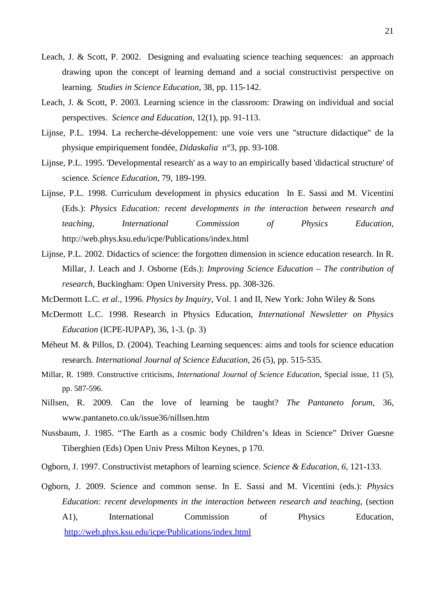- Leach, J. & Scott, P. 2002. Designing and evaluating science teaching sequences: an approach drawing upon the concept of learning demand and a social constructivist perspective on learning*. Studies in Science Education*, 38, pp. 115-142.
- Leach, J. & Scott, P. 2003. Learning science in the classroom: Drawing on individual and social perspectives. *Science and Education,* 12(1), pp. 91-113.
- Lijnse, P.L. 1994. La recherche-développement: une voie vers une "structure didactique" de la physique empiriquement fondée, *Didaskalia* n°3, pp. 93-108.
- Lijnse, P.L. 1995. 'Developmental research' as a way to an empirically based 'didactical structure' of science*. Science Education*, 79, 189-199.
- Lijnse, P.L. 1998. Curriculum development in physics education In E. Sassi and M. Vicentini (Eds.): *Physics Education: recent developments in the interaction between research and teaching, International Commission of Physics Education*, http://web.phys.ksu.edu/icpe/Publications/index.html
- Lijnse, P.L. 2002. Didactics of science: the forgotten dimension in science education research. In R. Millar, J. Leach and J. Osborne (Eds.): *Improving Science Education – The contribution of research*, Buckingham: Open University Press. pp. 308-326.
- McDermott L.C. *et al*., 1996. *Physics by Inquiry*, Vol. 1 and II, New York: John Wiley & Sons
- McDermott L.C. 1998. Research in Physics Education, *International Newsletter on Physics Education* (ICPE-IUPAP), 36, 1-3. (p. 3)
- Méheut M. & Pillos, D. (2004). Teaching Learning sequences: aims and tools for science education research*. International Journal of Science Education*, 26 (5), pp. 515-535.
- Millar, R. 1989. Constructive criticisms, *International Journal of Science Education*, Special issue, 11 (5), pp. 587-596.
- Nillsen, R. 2009. Can the love of learning be taught? *The Pantaneto forum*, 36, www.pantaneto.co.uk/issue36/nillsen.htm
- Nussbaum, J. 1985. "The Earth as a cosmic body Children's Ideas in Science" Driver Guesne Tiberghien (Eds) Open Univ Press Milton Keynes, p 170.
- Ogborn, J. 1997. Constructivist metaphors of learning science. *Science & Education, 6*, 121-133.
- Ogborn, J. 2009. Science and common sense. In E. Sassi and M. Vicentini (eds.): *Physics Education: recent developments in the interaction between research and teaching*, (section A1), International Commission of Physics Education, http://web.phys.ksu.edu/icpe/Publications/index.html